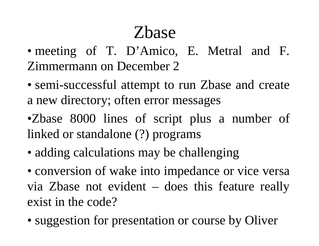## Zbase

- meeting of T. D'Amico, E. Metral and F. Zimmermann on December 2
- semi-successful attempt to run Zbase and create a new directory; often error messages
- •Zbase 8000 lines of script plus a number of linked or standalone (?) programs
- adding calculations may be challenging
- conversion of wake into impedance or vice versa via Zbase not evident – does this feature really exist in the code?
- suggestion for presentation or course by Oliver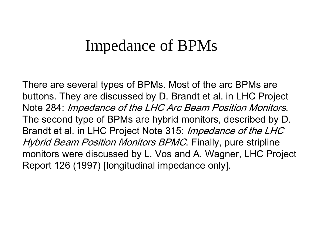## **Impedance of BPMs**

There are several types of BPMs. Most of the arc BPMs are buttons. They are discussed by D. Brandt et al. in LHC Project Note 284: Impedance of the LHC Arc Beam Position Monitors. The second type of BPMs are hybrid monitors, described by D. Brandt et al. in LHC Project Note 315: Impedance of the LHC *Hybrid Beam Position Monitors BPMC*. Finally, pure stripline monitors were discussed by L. Vos and A. Wagner, LHC Project Report 126 (1997) [longitudinal impedance only].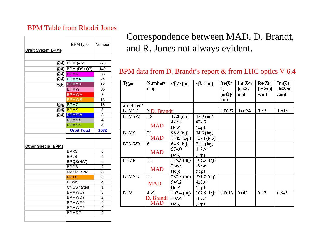## BPM Table from Rhodri Jones

| <b>Orbit System BPMs</b>  | <b>BPM</b> type       | Number           |  |
|---------------------------|-----------------------|------------------|--|
|                           |                       |                  |  |
|                           | QO BPM (Arc)          | 720              |  |
|                           | $QQ$ BPM (DS+Q7)      | $\overline{140}$ |  |
|                           | QO <mark>BPMR</mark>  | 36<br>24<br>12   |  |
|                           | <b>QO BPMYA</b>       |                  |  |
|                           | <b>QQ BPMYB</b>       |                  |  |
|                           | <b>BPMW</b>           | 36               |  |
|                           | <b>BPMWA</b>          | 8                |  |
|                           | <b>BPMWB</b>          | 16               |  |
|                           | <b>QO BPMC</b>        | 16               |  |
|                           | ର୍ଛ <mark>BPMS</mark> | 8<br>8           |  |
| ೧೦                        | <b>BPMSW</b>          |                  |  |
|                           | <b>BPMSX</b>          | 4                |  |
|                           | <b>BPMSY</b>          | 4                |  |
|                           | <b>Orbit Total</b>    | 1032             |  |
|                           |                       |                  |  |
| <b>Other Special BPMs</b> |                       |                  |  |
|                           | <b>BPRS</b>           | 8                |  |
|                           | <b>BPLS</b>           | 4                |  |
|                           | BPQS(H/V)             | 4                |  |
|                           | <b>BPQS</b>           | 2                |  |
|                           | <b>Mobile BPM</b>     | 8                |  |
|                           | <b>BPTX</b>           | 8                |  |
|                           | <b>BQMS</b>           | 4                |  |
|                           | <b>CNGS</b> target    | 1                |  |
|                           | BPMWC?                | 8                |  |
|                           | BPMWD?                | $\overline{2}$   |  |
|                           | BPMWE?                | $\overline{2}$   |  |
|                           | BPMWF?                | $\overline{2}$   |  |
|                           | <b>BPMRF</b>          | $\overline{2}$   |  |
|                           |                       |                  |  |

Correspondence between MAD, D. Brandt, and R. Jones not always evident.

## BPM data from D. Brandt's report & from LHC optics V 6.4

| <b>Type</b>  | Number/<br>ring | $\langle \beta_{x} \rangle$ [m] | $\langle \beta_{y} \rangle$ [m] | Re(Z/<br>$\mathbf{n}$<br>$[m\Omega]$ /<br>unit | Im(Z/n)<br>$[m\Omega]$<br>unit | Re(Zt)<br>[k $\Omega/m$ ]<br>/unit | Im(Zt)<br>[ $k\Omega/m$ ]<br>/unit |
|--------------|-----------------|---------------------------------|---------------------------------|------------------------------------------------|--------------------------------|------------------------------------|------------------------------------|
| Striplines?  |                 |                                 |                                 |                                                |                                |                                    |                                    |
| BPMC?        | 7 D. Brandt     |                                 |                                 | 0.0693                                         | 0.0754                         | 0.82                               | 1.615                              |
| <b>BPMSW</b> | 16              | 47.3 (inj)                      | 47.3 (inj)                      |                                                |                                |                                    |                                    |
|              |                 | 427.3                           | 427.3                           |                                                |                                |                                    |                                    |
|              | <b>MAD</b>      | (top)                           | (top)                           |                                                |                                |                                    |                                    |
| <b>BPMS</b>  | 32 <sup>2</sup> | $96.6 \, (\text{inj})$          | 94.3 (inj)                      |                                                |                                |                                    |                                    |
|              | <b>MAD</b>      | 1345 $(top)$                    | $1284$ (top)                    |                                                |                                |                                    |                                    |
| <b>BPMWB</b> | 8               | 84.9(i <sub>n</sub> )           | 73.1 (inj)                      |                                                |                                |                                    |                                    |
|              | <b>MAD</b>      | 579.0                           | 413.9                           |                                                |                                |                                    |                                    |
|              |                 | (top)                           | (top)                           |                                                |                                |                                    |                                    |
| <b>BPMR</b>  | 18              | $145.5 \; (inj)$                | $165.3 \; (inj)$                |                                                |                                |                                    |                                    |
|              |                 | 226.3                           | 198.6                           |                                                |                                |                                    |                                    |
|              | <b>MAD</b>      | (top)                           | (top)                           |                                                |                                |                                    |                                    |
| <b>BPMYA</b> | 12              | $280.3$ (inj)                   | $271.8$ (inj)                   |                                                |                                |                                    |                                    |
|              | <b>MAD</b>      | 546.2                           | 420.0                           |                                                |                                |                                    |                                    |
|              |                 | (top)                           | (top)                           |                                                |                                |                                    |                                    |
| <b>BPM</b>   | 466             | $102.4$ (inj)                   | $107.5$ (inj)                   | 0.0013                                         | 0.011                          | 0.02                               | 0.545                              |
|              | D. Brandt       | 102.4                           | 107.7                           |                                                |                                |                                    |                                    |
|              | <b>MAD</b>      | (top)                           | (top)                           |                                                |                                |                                    |                                    |